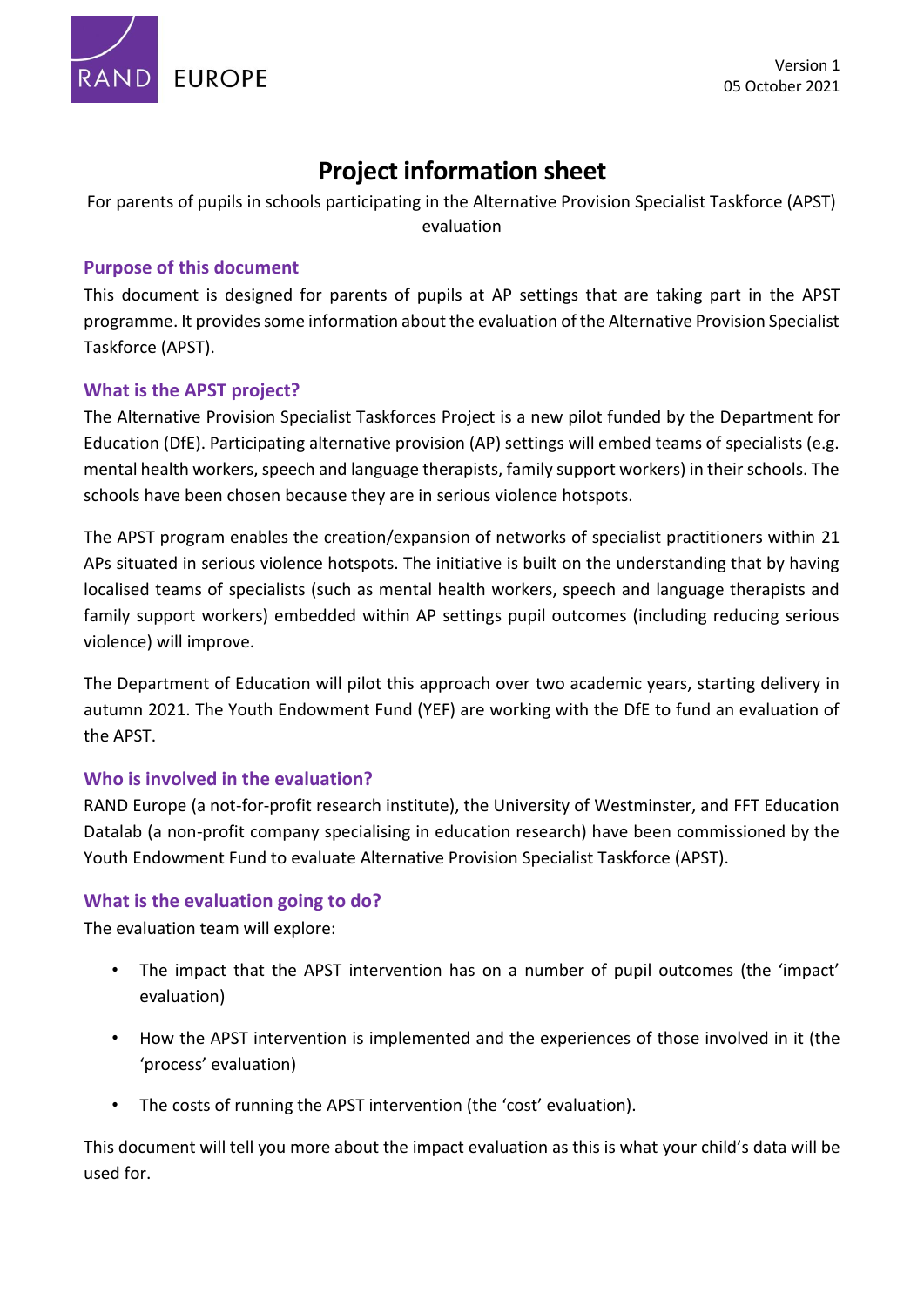

# **Project information sheet**

For parents of pupils in schools participating in the Alternative Provision Specialist Taskforce (APST) evaluation

## **Purpose of this document**

This document is designed for parents of pupils at AP settings that are taking part in the APST programme. It provides some information about the evaluation of the Alternative Provision Specialist Taskforce (APST).

## **What is the APST project?**

The Alternative Provision Specialist Taskforces Project is a new pilot funded by the Department for Education (DfE). Participating alternative provision (AP) settings will embed teams of specialists (e.g. mental health workers, speech and language therapists, family support workers) in their schools. The schools have been chosen because they are in serious violence hotspots.

The APST program enables the creation/expansion of networks of specialist practitioners within 21 APs situated in serious violence hotspots. The initiative is built on the understanding that by having localised teams of specialists (such as mental health workers, speech and language therapists and family support workers) embedded within AP settings pupil outcomes (including reducing serious violence) will improve.

The Department of Education will pilot this approach over two academic years, starting delivery in autumn 2021. The Youth Endowment Fund (YEF) are working with the DfE to fund an evaluation of the APST.

## **Who is involved in the evaluation?**

RAND Europe (a not-for-profit research institute), the University of Westminster, and FFT Education Datalab (a non-profit company specialising in education research) have been commissioned by the Youth Endowment Fund to evaluate Alternative Provision Specialist Taskforce (APST).

## **What is the evaluation going to do?**

The evaluation team will explore:

- The impact that the APST intervention has on a number of pupil outcomes (the 'impact' evaluation)
- How the APST intervention is implemented and the experiences of those involved in it (the 'process' evaluation)
- The costs of running the APST intervention (the 'cost' evaluation).

This document will tell you more about the impact evaluation as this is what your child's data will be used for.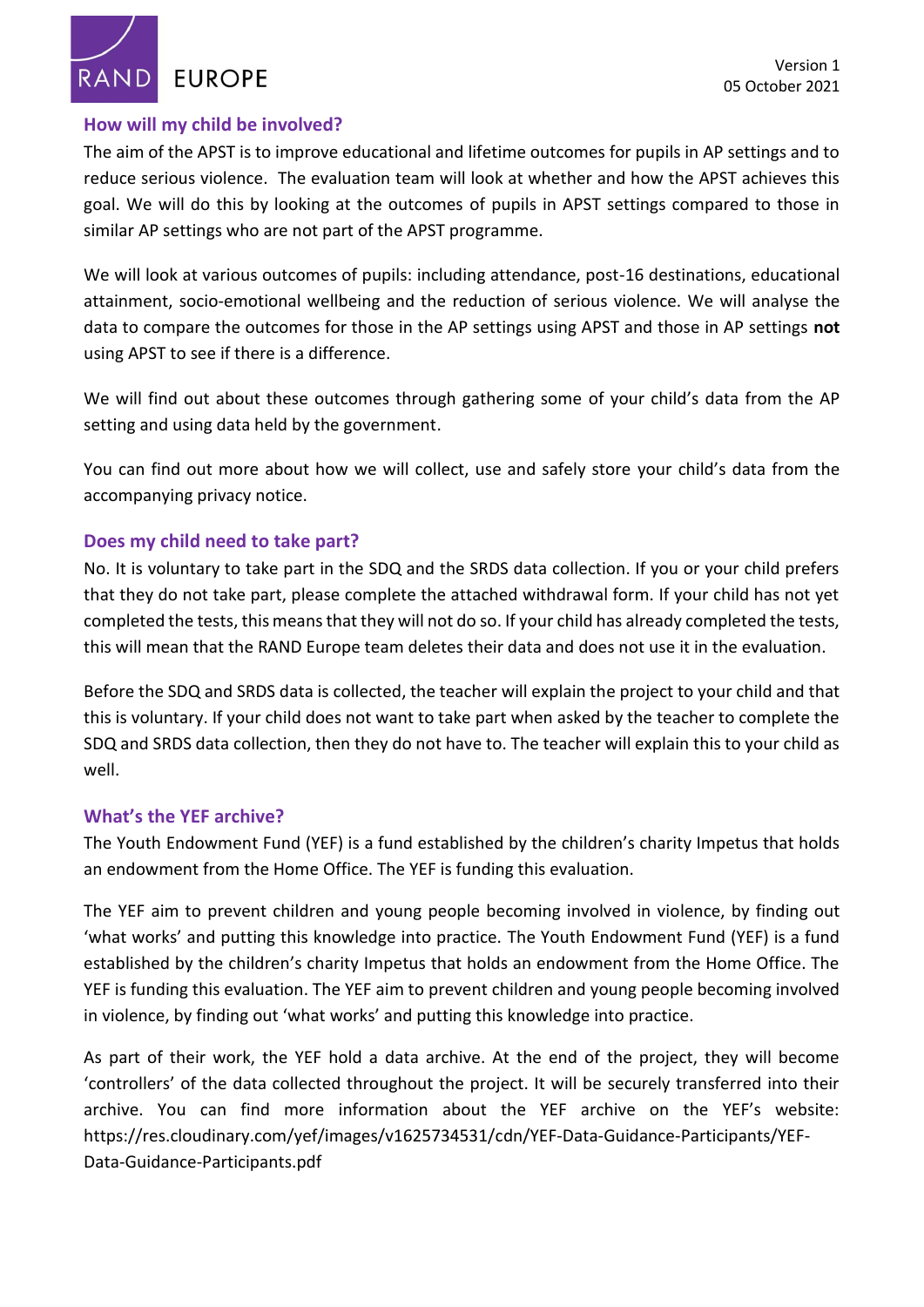**RAND EUROPE** 

#### **How will my child be involved?**

The aim of the APST is to improve educational and lifetime outcomes for pupils in AP settings and to reduce serious violence. The evaluation team will look at whether and how the APST achieves this goal. We will do this by looking at the outcomes of pupils in APST settings compared to those in similar AP settings who are not part of the APST programme.

We will look at various outcomes of pupils: including attendance, post-16 destinations, educational attainment, socio-emotional wellbeing and the reduction of serious violence. We will analyse the data to compare the outcomes for those in the AP settings using APST and those in AP settings **not**  using APST to see if there is a difference.

We will find out about these outcomes through gathering some of your child's data from the AP setting and using data held by the government.

You can find out more about how we will collect, use and safely store your child's data from the accompanying privacy notice.

#### **Does my child need to take part?**

No. It is voluntary to take part in the SDQ and the SRDS data collection. If you or your child prefers that they do not take part, please complete the attached withdrawal form. If your child has not yet completed the tests, this means that they will not do so. If your child has already completed the tests, this will mean that the RAND Europe team deletes their data and does not use it in the evaluation.

Before the SDQ and SRDS data is collected, the teacher will explain the project to your child and that this is voluntary. If your child does not want to take part when asked by the teacher to complete the SDQ and SRDS data collection, then they do not have to. The teacher will explain this to your child as well.

#### **What's the YEF archive?**

The Youth Endowment Fund (YEF) is a fund established by the children's charity Impetus that holds an endowment from the Home Office. The YEF is funding this evaluation.

The YEF aim to prevent children and young people becoming involved in violence, by finding out 'what works' and putting this knowledge into practice. The Youth Endowment Fund (YEF) is a fund established by the children's charity Impetus that holds an endowment from the Home Office. The YEF is funding this evaluation. The YEF aim to prevent children and young people becoming involved in violence, by finding out 'what works' and putting this knowledge into practice.

As part of their work, the YEF hold a data archive. At the end of the project, they will become 'controllers' of the data collected throughout the project. It will be securely transferred into their archive. You can find more information about the YEF archive on the YEF's website: [https://res.cloudinary.com/yef/images/v1625734531/cdn/YEF-Data-Guidance-Participants/YEF-](https://protect2.fireeye.com/v1/url?k=a4d9ac11-fb4294c3-a4d98246-866132fe445e-c1619437db9ae37f&q=1&e=d539bd66-a80b-40cd-ad67-68d08172bb78&u=https%3A%2F%2Fres.cloudinary.com%2Fyef%2Fimages%2Fv1625734531%2Fcdn%2FYEF-Data-Guidance-Participants%2FYEF-Data-Guidance-Participants.pdf)[Data-Guidance-Participants.pdf](https://protect2.fireeye.com/v1/url?k=a4d9ac11-fb4294c3-a4d98246-866132fe445e-c1619437db9ae37f&q=1&e=d539bd66-a80b-40cd-ad67-68d08172bb78&u=https%3A%2F%2Fres.cloudinary.com%2Fyef%2Fimages%2Fv1625734531%2Fcdn%2FYEF-Data-Guidance-Participants%2FYEF-Data-Guidance-Participants.pdf)